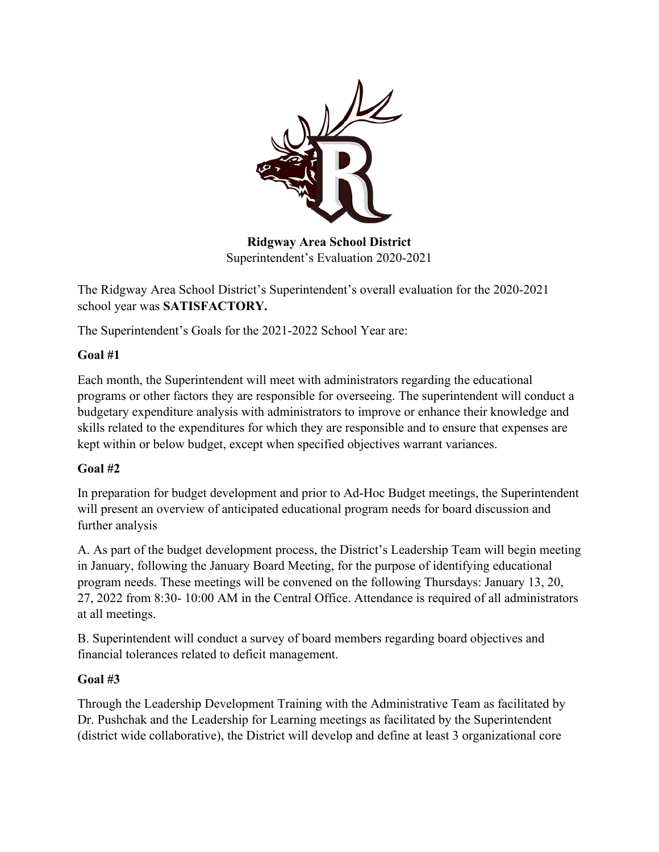

**Ridgway Area School District** Superintendent's Evaluation 2020-2021

The Ridgway Area School District's Superintendent's overall evaluation for the 2020-2021 school year was **SATISFACTORY.** 

The Superintendent's Goals for the 2021-2022 School Year are:

## **Goal #1**

Each month, the Superintendent will meet with administrators regarding the educational programs or other factors they are responsible for overseeing. The superintendent will conduct a budgetary expenditure analysis with administrators to improve or enhance their knowledge and skills related to the expenditures for which they are responsible and to ensure that expenses are kept within or below budget, except when specified objectives warrant variances.

## **Goal #2**

In preparation for budget development and prior to Ad-Hoc Budget meetings, the Superintendent will present an overview of anticipated educational program needs for board discussion and further analysis

A. As part of the budget development process, the District's Leadership Team will begin meeting in January, following the January Board Meeting, for the purpose of identifying educational program needs. These meetings will be convened on the following Thursdays: January 13, 20, 27, 2022 from 8:30- 10:00 AM in the Central Office. Attendance is required of all administrators at all meetings.

B. Superintendent will conduct a survey of board members regarding board objectives and financial tolerances related to deficit management.

## **Goal #3**

Through the Leadership Development Training with the Administrative Team as facilitated by Dr. Pushchak and the Leadership for Learning meetings as facilitated by the Superintendent (district wide collaborative), the District will develop and define at least 3 organizational core